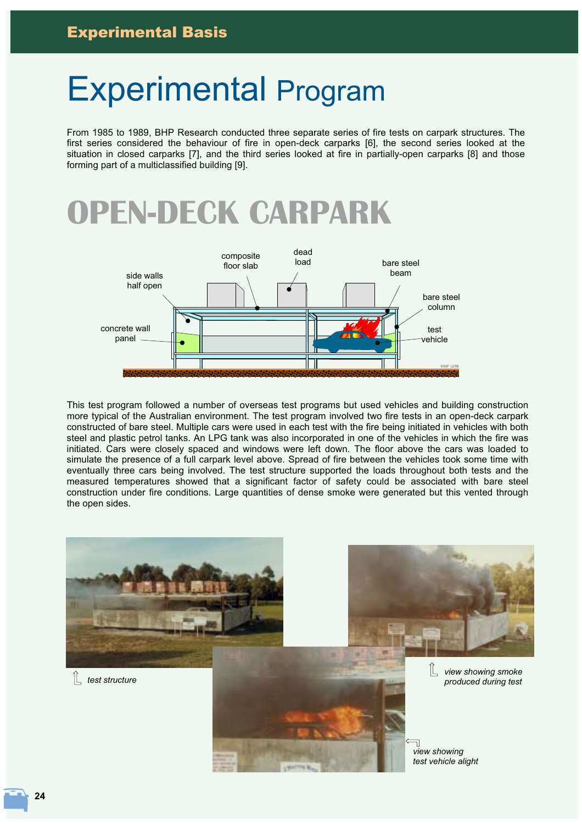# **Experimental Program**

From 1985 to 1989, BHP Research conducted three separate series of fire tests on carpark structures. The first series considered the behaviour of fire in open-deck carparks [6], the second series looked at the situation in closed carparks [7], and the third series looked at fire in partially-open carparks [8] and those forming part of a multiclassified building [9].

## **OPEN-DECK CARPARK**



This test program followed a number of overseas test programs but used vehicles and building construction more typical of the Australian environment. The test program involved two fire tests in an open-deck carpark constructed of bare steel. Multiple cars were used in each test with the fire being initiated in vehicles with both steel and plastic petrol tanks. An LPG tank was also incorporated in one of the vehicles in which the fire was initiated. Cars were closely spaced and windows were left down. The floor above the cars was loaded to simulate the presence of a full carpark level above. Spread of fire between the vehicles took some time with eventually three cars being involved. The test structure supported the loads throughout both tests and the measured temperatures showed that a significant factor of safety could be associated with bare steel construction under fire conditions. Large quantities of dense smoke were generated but this vented through the open sides.

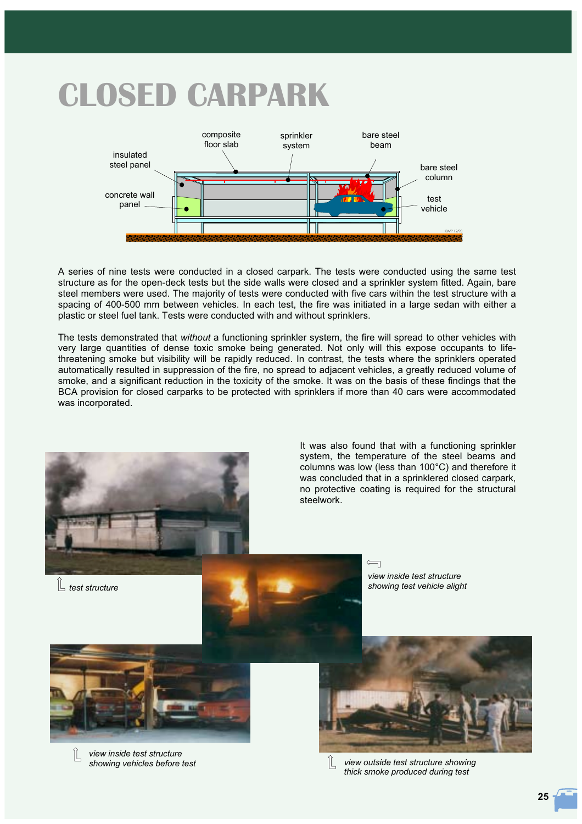# **CLOSED CARPARK**



A series of nine tests were conducted in a closed carpark. The tests were conducted using the same test structure as for the open-deck tests but the side walls were closed and a sprinkler system fitted. Again, bare steel members were used. The majority of tests were conducted with five cars within the test structure with a spacing of 400-500 mm between vehicles. In each test, the fire was initiated in a large sedan with either a plastic or steel fuel tank. Tests were conducted with and without sprinklers.

The tests demonstrated that without a functioning sprinkler system, the fire will spread to other vehicles with very large quantities of dense toxic smoke being generated. Not only will this expose occupants to lifethreatening smoke but visibility will be rapidly reduced. In contrast, the tests where the sprinklers operated automatically resulted in suppression of the fire, no spread to adjacent vehicles, a greatly reduced volume of smoke, and a significant reduction in the toxicity of the smoke. It was on the basis of these findings that the BCA provision for closed carparks to be protected with sprinklers if more than 40 cars were accommodated was incorporated.



It was also found that with a functioning sprinkler system, the temperature of the steel beams and columns was low (less than 100°C) and therefore it was concluded that in a sprinklered closed carpark. no protective coating is required for the structural steelwork

 $L$  test structure





view inside test structure showing vehicles before test



view outside test structure showing thick smoke produced during test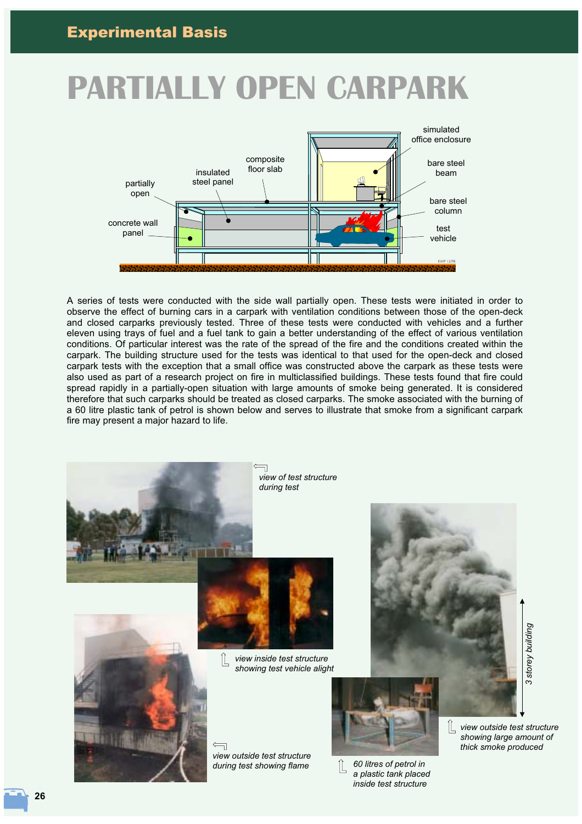# **PARTIALLY OPEN CARPARK**



A series of tests were conducted with the side wall partially open. These tests were initiated in order to observe the effect of burning cars in a carpark with ventilation conditions between those of the open-deck and closed carparks previously tested. Three of these tests were conducted with vehicles and a further eleven using trays of fuel and a fuel tank to gain a better understanding of the effect of various ventilation conditions. Of particular interest was the rate of the spread of the fire and the conditions created within the carpark. The building structure used for the tests was identical to that used for the open-deck and closed carpark tests with the exception that a small office was constructed above the carpark as these tests were also used as part of a research project on fire in multiclassified buildings. These tests found that fire could spread rapidly in a partially-open situation with large amounts of smoke being generated. It is considered therefore that such carparks should be treated as closed carparks. The smoke associated with the burning of a 60 litre plastic tank of petrol is shown below and serves to illustrate that smoke from a significant carpark fire may present a major hazard to life.

 $\overline{\mathcal{L}}$ 



inside test structure

3 storey building

26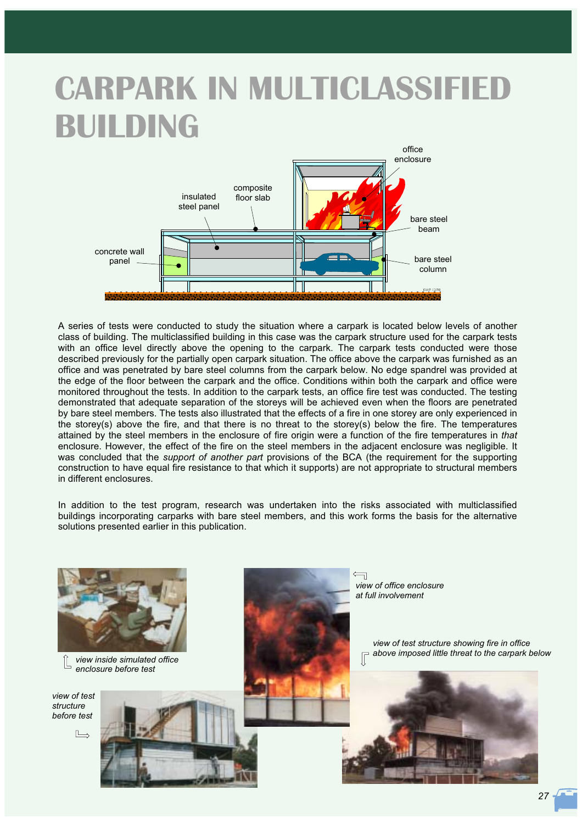# **CARPARK IN MULTICLASSIFIED BUILDING**



A series of tests were conducted to study the situation where a carpark is located below levels of another class of building. The multiclassified building in this case was the carpark structure used for the carpark tests with an office level directly above the opening to the carpark. The carpark tests conducted were those described previously for the partially open carpark situation. The office above the carpark was furnished as an office and was penetrated by bare steel columns from the carpark below. No edge spandrel was provided at the edge of the floor between the carpark and the office. Conditions within both the carpark and office were monitored throughout the tests. In addition to the carpark tests, an office fire test was conducted. The testing demonstrated that adequate separation of the storeys will be achieved even when the floors are penetrated by bare steel members. The tests also illustrated that the effects of a fire in one storey are only experienced in the storey(s) above the fire, and that there is no threat to the storey(s) below the fire. The temperatures attained by the steel members in the enclosure of fire origin were a function of the fire temperatures in that enclosure. However, the effect of the fire on the steel members in the adjacent enclosure was negligible. It was concluded that the *support of another part* provisions of the BCA (the requirement for the supporting construction to have equal fire resistance to that which it supports) are not appropriate to structural members in different enclosures

In addition to the test program, research was undertaken into the risks associated with multiclassified buildings incorporating carparks with bare steel members, and this work forms the basis for the alternative solutions presented earlier in this publication.

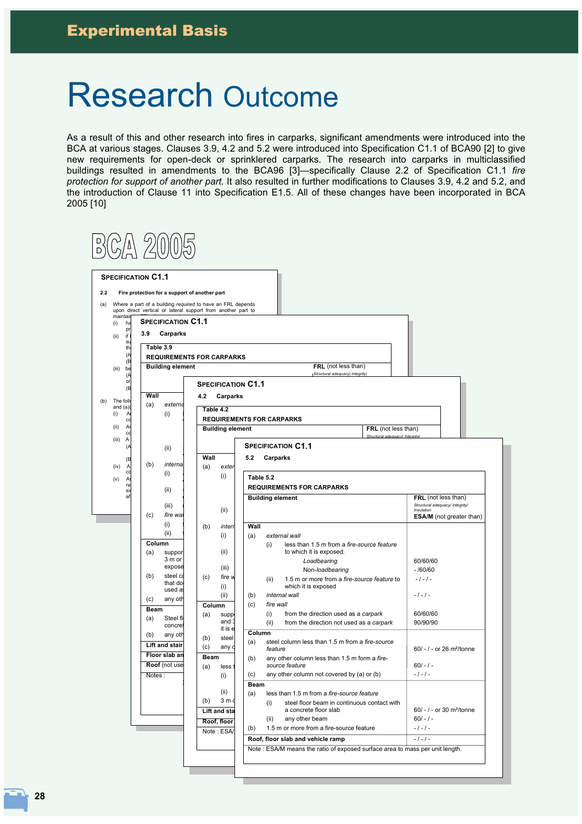### **Research Outcome**

As a result of this and other research into fires in carparks, significant amendments were introduced into the BCA at various stages. Clauses 3.9, 4.2 and 5.2 were introduced into Specification C1.1 of BCA90 [2] to give new requirements for open-deck or sprinklered carparks. The research into carparks in multiclassified buildings resulted in amendments to the BCA96 [3]-specifically Clause 2.2 of Specification C1.1 fire protection for support of another part. It also resulted in further modifications to Clauses 3.9, 4.2 and 5.2, and the introduction of Clause 11 into Specification E1.5. All of these changes have been incorporated in BCA 2005 [10]

| <b>SPECIFICATION C1.1</b> |                               |                                                                                                                            |                                                                                                 |                                                    |
|---------------------------|-------------------------------|----------------------------------------------------------------------------------------------------------------------------|-------------------------------------------------------------------------------------------------|----------------------------------------------------|
| 2.2                       |                               | Fire protection for a support of another part                                                                              |                                                                                                 |                                                    |
|                           |                               | Where a part of a building required to have an FRL depends<br>upon direct vertical or lateral support from another part to |                                                                                                 |                                                    |
| maintair                  | <b>SPECIFICATION C1.1</b>     |                                                                                                                            |                                                                                                 |                                                    |
| (i)<br>ha<br>pr<br>if I   | 3.9<br>Carparks               |                                                                                                                            |                                                                                                 |                                                    |
| (ii)<br><b>SL</b><br>th   | Table 3.9                     |                                                                                                                            |                                                                                                 |                                                    |
| (A                        |                               | <b>REQUIREMENTS FOR CARPARKS</b>                                                                                           |                                                                                                 |                                                    |
| (B<br>(iii)<br>be         | <b>Building element</b>       |                                                                                                                            | FRL (not less than)                                                                             |                                                    |
| (A<br>or                  |                               | <b>SPECIFICATION C1.1</b>                                                                                                  | Structural adequacy Integrity                                                                   |                                                    |
| (B                        | Wall                          | 4.2<br>Carparks                                                                                                            |                                                                                                 |                                                    |
| The foll<br>and $(a)$     | (a)<br>externa                | Table 4.2                                                                                                                  |                                                                                                 |                                                    |
| (i)<br>A<br>cc            | (i)                           |                                                                                                                            | <b>REQUIREMENTS FOR CARPARKS</b>                                                                |                                                    |
| (ii)<br>Ar<br>cc          |                               | <b>Building element</b>                                                                                                    | FRL (not less than)<br>Structural adequacyl Integrity                                           |                                                    |
| (iii)<br>Α<br>(A          | (ii)                          |                                                                                                                            | <b>SPECIFICATION C1.1</b>                                                                       |                                                    |
| (B                        |                               | Wall                                                                                                                       | 5.2<br>Carparks                                                                                 |                                                    |
| (iv)<br>Α<br>cd           | (b)<br>internal               | (a)<br>exter                                                                                                               |                                                                                                 |                                                    |
| (v)<br>A<br>re            | (i)                           | (i)                                                                                                                        | Table 5.2                                                                                       |                                                    |
| <b>si</b><br>af           | (ii)                          |                                                                                                                            | <b>REQUIREMENTS FOR CARPARKS</b><br><b>Building element</b>                                     | FRL (not less than)                                |
|                           | (iii)                         |                                                                                                                            |                                                                                                 | Structural adequacy/ Integrity/<br>Insulation      |
|                           | (c)<br>fire wal               | (ii)                                                                                                                       |                                                                                                 | <b>ESA/M</b> (not greater than)                    |
|                           | (i)<br>(ii)                   | (b)<br>interr                                                                                                              | Wall                                                                                            |                                                    |
|                           | Column                        | (i)                                                                                                                        | (a)<br>external wall<br>less than 1.5 m from a fire-source feature<br>(i)                       |                                                    |
|                           | suppor<br>(a)<br>3 m or       | (ii)                                                                                                                       | to which it is exposed:                                                                         |                                                    |
|                           | expose                        | (iii)                                                                                                                      | Loadbearing<br>Non-loadbearing                                                                  | 60/60/60<br>$-$ /60/60                             |
|                           | steel co<br>(b)<br>that do    | (c)<br>fire w                                                                                                              | 1.5 m or more from a fire-source feature to<br>(ii)                                             | $-1 - 1 -$                                         |
|                           | used a                        | (i)<br>(ii)                                                                                                                | which it is exposed<br>(b)<br>internal wall                                                     | $-1 - 1 -$                                         |
|                           | any oth<br>(c)<br><b>Beam</b> | Column                                                                                                                     | (c)<br>fire wall                                                                                |                                                    |
|                           | (a)<br>Steel fl               | (a)<br>supp<br>and 3                                                                                                       | (i)<br>from the direction used as a carpark<br>(ii)<br>from the direction not used as a carpark | 60/60/60<br>90/90/90                               |
|                           | concret<br>any oth<br>(b)     | it is e                                                                                                                    | Column                                                                                          |                                                    |
|                           | <b>Lift and stair</b>         | (b)<br>steel<br>(c)                                                                                                        | steel column less than 1.5 m from a fire-source<br>(a)                                          |                                                    |
|                           | Floor slab an                 | any d<br>Beam                                                                                                              | feature<br>any other column less than 1.5 m form a fire-<br>(b)                                 | 60/ $-1$ - or 26 m <sup>2</sup> /tonne             |
|                           | Roof (not use                 | (a)<br>less                                                                                                                | source feature                                                                                  | $60/-/ -$                                          |
|                           | Notes:                        | (i)                                                                                                                        | any other column not covered by (a) or (b)<br>(c)                                               | $-1 - 1 -$                                         |
|                           |                               | (ii)                                                                                                                       | Beam<br>less than 1.5 m from a fire-source feature<br>(a)                                       |                                                    |
|                           |                               | 3m <sub>q</sub><br>(b)                                                                                                     | steel floor beam in continuous contact with<br>(i)                                              |                                                    |
|                           |                               | Lift and sta                                                                                                               | a concrete floor slab<br>(ii)<br>any other beam                                                 | 60/ - / - or 30 m <sup>2</sup> /tonne<br>$60/-/ -$ |
|                           |                               | Roof, floor<br>Note: ESA/                                                                                                  | 1.5 m or more from a fire-source feature<br>(b)                                                 | $-1 - 1 -$                                         |
|                           |                               |                                                                                                                            | Roof, floor slab and vehicle ramp                                                               | $-1 - 1 -$                                         |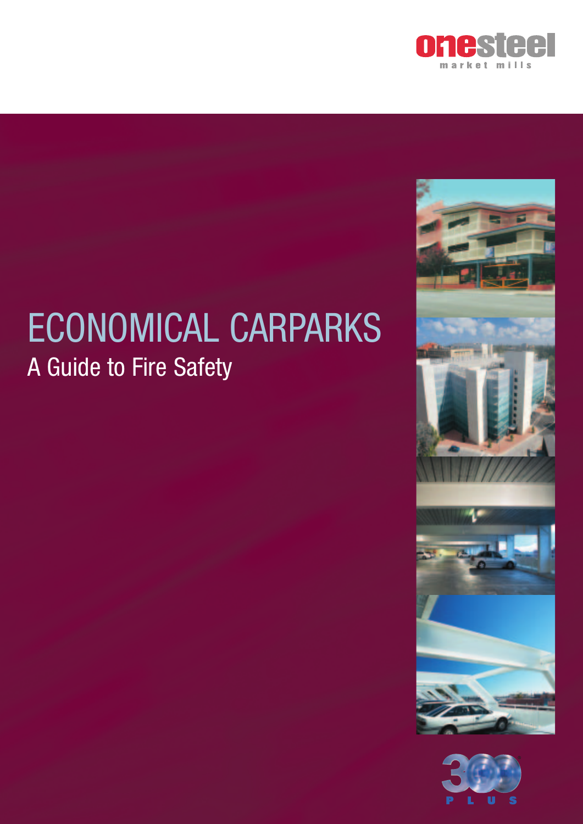

# ECONOMICAL CARPARKS A Guide to Fire Safety



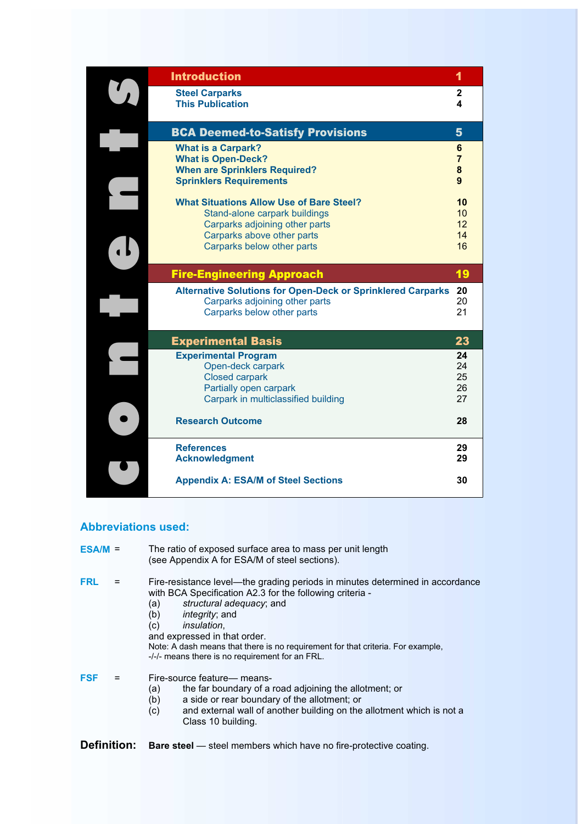| <b>Introduction</b>                                                                                                                                                            | 1                                        |
|--------------------------------------------------------------------------------------------------------------------------------------------------------------------------------|------------------------------------------|
| <b>Steel Carparks</b><br><b>This Publication</b>                                                                                                                               | $\mathbf{2}$<br>4                        |
| <b>BCA Deemed-to-Satisfy Provisions</b>                                                                                                                                        | 5                                        |
| <b>What is a Carpark?</b><br><b>What is Open-Deck?</b><br><b>When are Sprinklers Required?</b><br><b>Sprinklers Requirements</b>                                               | 6<br>$\overline{7}$<br>8<br>$\mathbf{q}$ |
| <b>What Situations Allow Use of Bare Steel?</b><br>Stand-alone carpark buildings<br>Carparks adjoining other parts<br>Carparks above other parts<br>Carparks below other parts | 10<br>10<br>12<br>14<br>16               |
| <b>Fire-Engineering Approach</b>                                                                                                                                               | 19                                       |
| <b>Alternative Solutions for Open-Deck or Sprinklered Carparks</b><br>Carparks adjoining other parts<br>Carparks below other parts                                             | 20<br>20<br>21                           |
| <b>Experimental Basis</b>                                                                                                                                                      | 23                                       |
| <b>Experimental Program</b><br>Open-deck carpark<br><b>Closed carpark</b><br>Partially open carpark<br>Carpark in multiclassified building                                     | 24<br>24<br>25<br>26<br>27               |
| <b>Research Outcome</b>                                                                                                                                                        | 28                                       |
| <b>References</b><br><b>Acknowledgment</b><br><b>Appendix A: ESA/M of Steel Sections</b>                                                                                       | 29<br>29<br>30                           |
|                                                                                                                                                                                |                                          |

#### **Abbreviations used:**

| $ESA/M =$  | The ratio of exposed surface area to mass per unit length<br>(see Appendix A for ESA/M of steel sections).                                                                                                                                                                                                                                                                                                       |
|------------|------------------------------------------------------------------------------------------------------------------------------------------------------------------------------------------------------------------------------------------------------------------------------------------------------------------------------------------------------------------------------------------------------------------|
| <b>FRL</b> | Fire-resistance level—the grading periods in minutes determined in accordance<br>with BCA Specification A2.3 for the following criteria -<br>structural adequacy; and<br>(a)<br>(b)<br><i>integrity</i> ; and<br><i>insulation.</i><br>(c)<br>and expressed in that order.<br>Note: A dash means that there is no requirement for that criteria. For example,<br>-/-/- means there is no requirement for an FRL. |
| <b>FSF</b> | Fire-source feature— means-<br>the far boundary of a road adjoining the allotment; or<br>(a)<br>(b)<br>a side or rear boundary of the allotment; or<br>and external wall of another building on the allotment which is not a<br>(c)<br>Class 10 building.                                                                                                                                                        |

Definition: Bare steel - steel members which have no fire-protective coating.